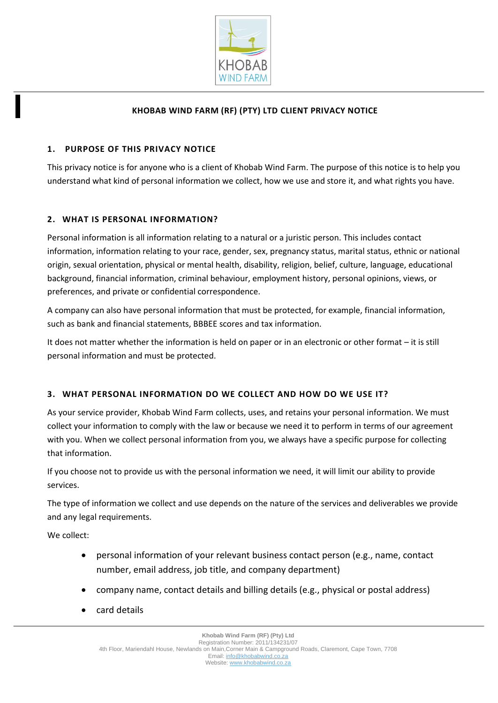

# **KHOBAB WIND FARM (RF) (PTY) LTD CLIENT PRIVACY NOTICE**

## **1. PURPOSE OF THIS PRIVACY NOTICE**

This privacy notice is for anyone who is a client of Khobab Wind Farm. The purpose of this notice is to help you understand what kind of personal information we collect, how we use and store it, and what rights you have.

## **2. WHAT IS PERSONAL INFORMATION?**

Personal information is all information relating to a natural or a juristic person. This includes contact information, information relating to your race, gender, sex, pregnancy status, marital status, ethnic or national origin, sexual orientation, physical or mental health, disability, religion, belief, culture, language, educational background, financial information, criminal behaviour, employment history, personal opinions, views, or preferences, and private or confidential correspondence.

A company can also have personal information that must be protected, for example, financial information, such as bank and financial statements, BBBEE scores and tax information.

It does not matter whether the information is held on paper or in an electronic or other format – it is still personal information and must be protected.

#### **3. WHAT PERSONAL INFORMATION DO WE COLLECT AND HOW DO WE USE IT?**

As your service provider, Khobab Wind Farm collects, uses, and retains your personal information. We must collect your information to comply with the law or because we need it to perform in terms of our agreement with you. When we collect personal information from you, we always have a specific purpose for collecting that information.

If you choose not to provide us with the personal information we need, it will limit our ability to provide services.

The type of information we collect and use depends on the nature of the services and deliverables we provide and any legal requirements.

We collect:

- personal information of your relevant business contact person (e.g., name, contact number, email address, job title, and company department)
- company name, contact details and billing details (e.g., physical or postal address)
- card details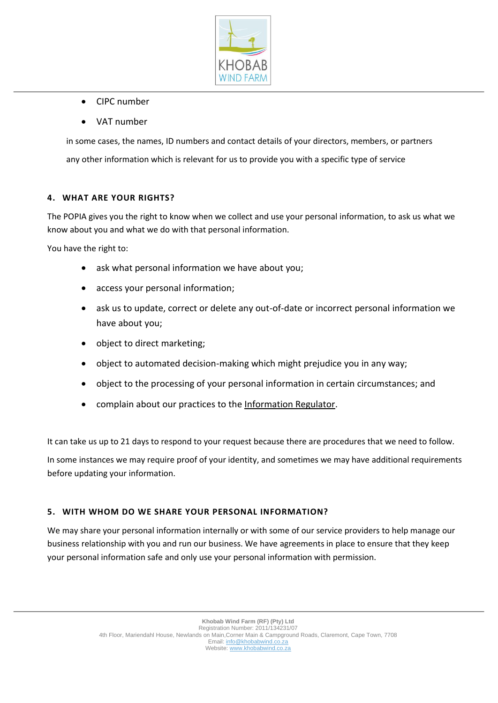

- CIPC number
- VAT number

in some cases, the names, ID numbers and contact details of your directors, members, or partners any other information which is relevant for us to provide you with a specific type of service

#### **4. WHAT ARE YOUR RIGHTS?**

The POPIA gives you the right to know when we collect and use your personal information, to ask us what we know about you and what we do with that personal information.

You have the right to:

- ask what personal information we have about you;
- access your personal information;
- ask us to update, correct or delete any out-of-date or incorrect personal information we have about you;
- object to direct marketing;
- object to automated decision-making which might prejudice you in any way;
- object to the processing of your personal information in certain circumstances; and
- complain about our practices to the [Information Regulator.](https://justice.gov.za/inforeg/)

It can take us up to 21 days to respond to your request because there are procedures that we need to follow.

In some instances we may require proof of your identity, and sometimes we may have additional requirements before updating your information.

#### **5. WITH WHOM DO WE SHARE YOUR PERSONAL INFORMATION?**

We may share your personal information internally or with some of our service providers to help manage our business relationship with you and run our business. We have agreements in place to ensure that they keep your personal information safe and only use your personal information with permission.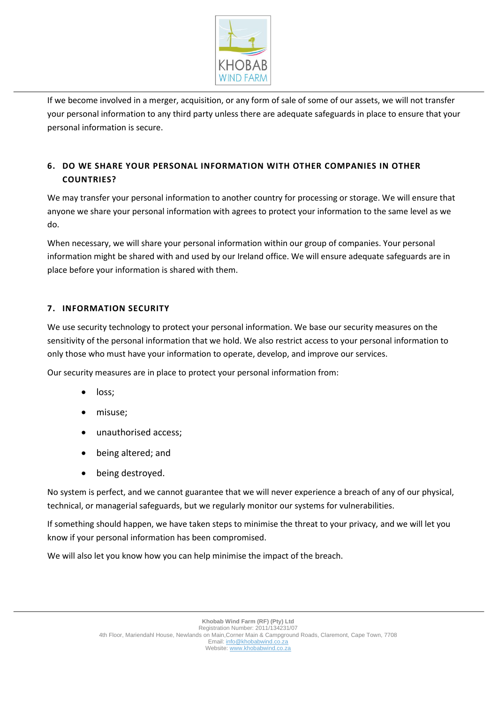

If we become involved in a merger, acquisition, or any form of sale of some of our assets, we will not transfer your personal information to any third party unless there are adequate safeguards in place to ensure that your personal information is secure.

# **6. DO WE SHARE YOUR PERSONAL INFORMATION WITH OTHER COMPANIES IN OTHER COUNTRIES?**

We may transfer your personal information to another country for processing or storage. We will ensure that anyone we share your personal information with agrees to protect your information to the same level as we do.

When necessary, we will share your personal information within our group of companies. Your personal information might be shared with and used by our Ireland office. We will ensure adequate safeguards are in place before your information is shared with them.

# **7. INFORMATION SECURITY**

We use security technology to protect your personal information. We base our security measures on the sensitivity of the personal information that we hold. We also restrict access to your personal information to only those who must have your information to operate, develop, and improve our services.

Our security measures are in place to protect your personal information from:

- loss;
- misuse;
- unauthorised access;
- being altered; and
- being destroyed.

No system is perfect, and we cannot guarantee that we will never experience a breach of any of our physical, technical, or managerial safeguards, but we regularly monitor our systems for vulnerabilities.

If something should happen, we have taken steps to minimise the threat to your privacy, and we will let you know if your personal information has been compromised.

We will also let you know how you can help minimise the impact of the breach.